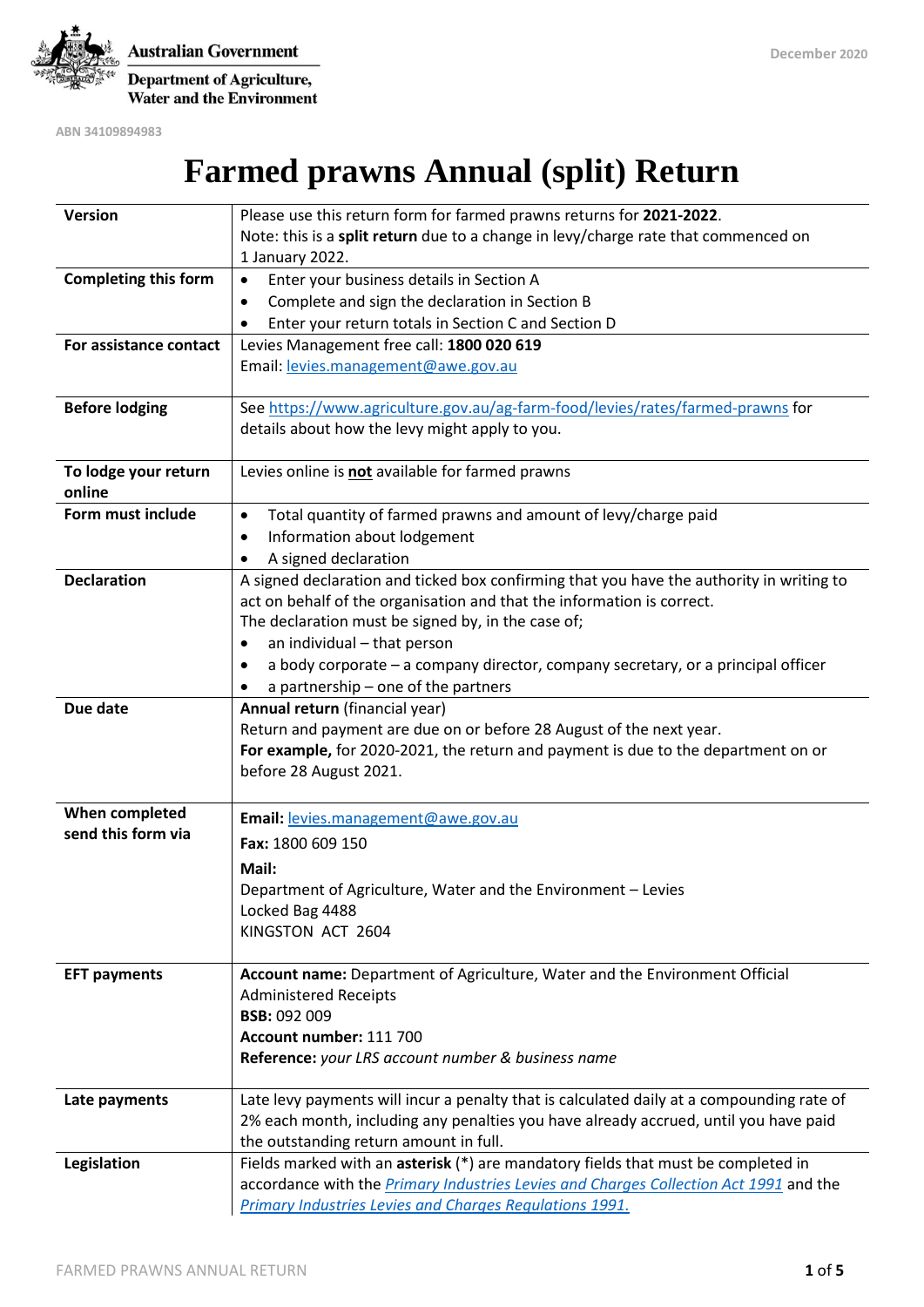

**Australian Government** Department of Agriculture, **Water and the Environment** 

**ABN 34109894983**

# **Farmed prawns Annual (split) Return**

| Version                     | Please use this return form for farmed prawns returns for 2021-2022.                      |
|-----------------------------|-------------------------------------------------------------------------------------------|
|                             | Note: this is a split return due to a change in levy/charge rate that commenced on        |
|                             | 1 January 2022.                                                                           |
| <b>Completing this form</b> | Enter your business details in Section A<br>$\bullet$                                     |
|                             | Complete and sign the declaration in Section B<br>٠                                       |
|                             | Enter your return totals in Section C and Section D                                       |
| For assistance contact      | Levies Management free call: 1800 020 619                                                 |
|                             | Email: levies.management@awe.gov.au                                                       |
|                             |                                                                                           |
| <b>Before lodging</b>       | See https://www.agriculture.gov.au/ag-farm-food/levies/rates/farmed-prawns for            |
|                             | details about how the levy might apply to you.                                            |
|                             |                                                                                           |
| To lodge your return        | Levies online is not available for farmed prawns                                          |
| online                      |                                                                                           |
| Form must include           | Total quantity of farmed prawns and amount of levy/charge paid<br>$\bullet$               |
|                             | Information about lodgement<br>٠                                                          |
|                             | A signed declaration                                                                      |
| <b>Declaration</b>          | A signed declaration and ticked box confirming that you have the authority in writing to  |
|                             | act on behalf of the organisation and that the information is correct.                    |
|                             | The declaration must be signed by, in the case of;                                        |
|                             | an individual - that person<br>٠                                                          |
|                             | a body corporate – a company director, company secretary, or a principal officer          |
|                             | a partnership - one of the partners                                                       |
| Due date                    | Annual return (financial year)                                                            |
|                             | Return and payment are due on or before 28 August of the next year.                       |
|                             | For example, for 2020-2021, the return and payment is due to the department on or         |
|                             | before 28 August 2021.                                                                    |
| When completed              |                                                                                           |
| send this form via          | Email: levies.management@awe.gov.au                                                       |
|                             | Fax: 1800 609 150                                                                         |
|                             | Mail:                                                                                     |
|                             | Department of Agriculture, Water and the Environment - Levies                             |
|                             | Locked Bag 4488                                                                           |
|                             | KINGSTON ACT 2604                                                                         |
|                             |                                                                                           |
| <b>EFT payments</b>         | Account name: Department of Agriculture, Water and the Environment Official               |
|                             | <b>Administered Receipts</b><br><b>BSB: 092 009</b>                                       |
|                             | Account number: 111 700                                                                   |
|                             | Reference: your LRS account number & business name                                        |
|                             |                                                                                           |
| Late payments               | Late levy payments will incur a penalty that is calculated daily at a compounding rate of |
|                             | 2% each month, including any penalties you have already accrued, until you have paid      |
|                             | the outstanding return amount in full.                                                    |
| Legislation                 | Fields marked with an asterisk (*) are mandatory fields that must be completed in         |
|                             | accordance with the Primary Industries Levies and Charges Collection Act 1991 and the     |
|                             | Primary Industries Levies and Charges Regulations 1991.                                   |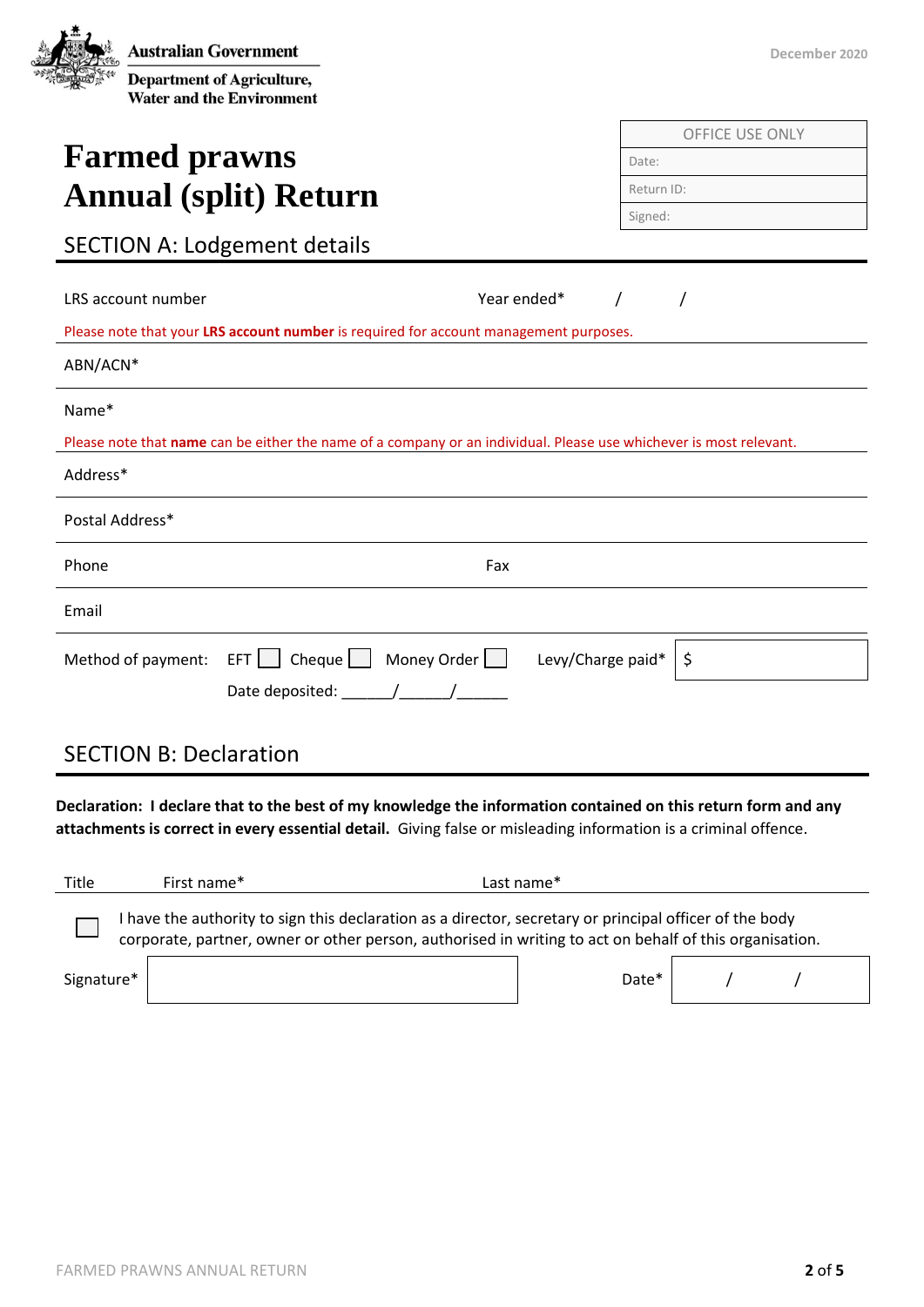| <b>Australian Government</b>                                          |
|-----------------------------------------------------------------------|
| <b>Department of Agriculture,</b><br><b>Water and the Environment</b> |

## **Farmed prawns Annual (split) Return**

|  |  |  |  |  | DECENIDER ZUZU |  |  |
|--|--|--|--|--|----------------|--|--|
|  |  |  |  |  |                |  |  |
|  |  |  |  |  |                |  |  |

**December 2020** 

| <b>OFFICE USE ONLY</b> |
|------------------------|
| Date:                  |
| Return ID:             |
| Signed:                |
|                        |

### SECTION A: Lodgement details

| LRS account number |                                                                                                                    | Year ended*       |    |
|--------------------|--------------------------------------------------------------------------------------------------------------------|-------------------|----|
|                    | Please note that your LRS account number is required for account management purposes.                              |                   |    |
| ABN/ACN*           |                                                                                                                    |                   |    |
| Name*              |                                                                                                                    |                   |    |
|                    | Please note that name can be either the name of a company or an individual. Please use whichever is most relevant. |                   |    |
| Address*           |                                                                                                                    |                   |    |
| Postal Address*    |                                                                                                                    |                   |    |
| Phone              |                                                                                                                    | Fax               |    |
| Email              |                                                                                                                    |                   |    |
| Method of payment: | Money Order $\Box$<br>Cheque $\Box$<br>EFT    <br>Date deposited: $\sqrt{2\pi}$                                    | Levy/Charge paid* | \$ |

### SECTION B: Declaration

**Declaration: I declare that to the best of my knowledge the information contained on this return form and any attachments is correct in every essential detail.** Giving false or misleading information is a criminal offence.

| Title      | First name* | Last name*                                                                                                                                                                                                       |
|------------|-------------|------------------------------------------------------------------------------------------------------------------------------------------------------------------------------------------------------------------|
|            |             | have the authority to sign this declaration as a director, secretary or principal officer of the body<br>corporate, partner, owner or other person, authorised in writing to act on behalf of this organisation. |
| Signature* |             | Date*                                                                                                                                                                                                            |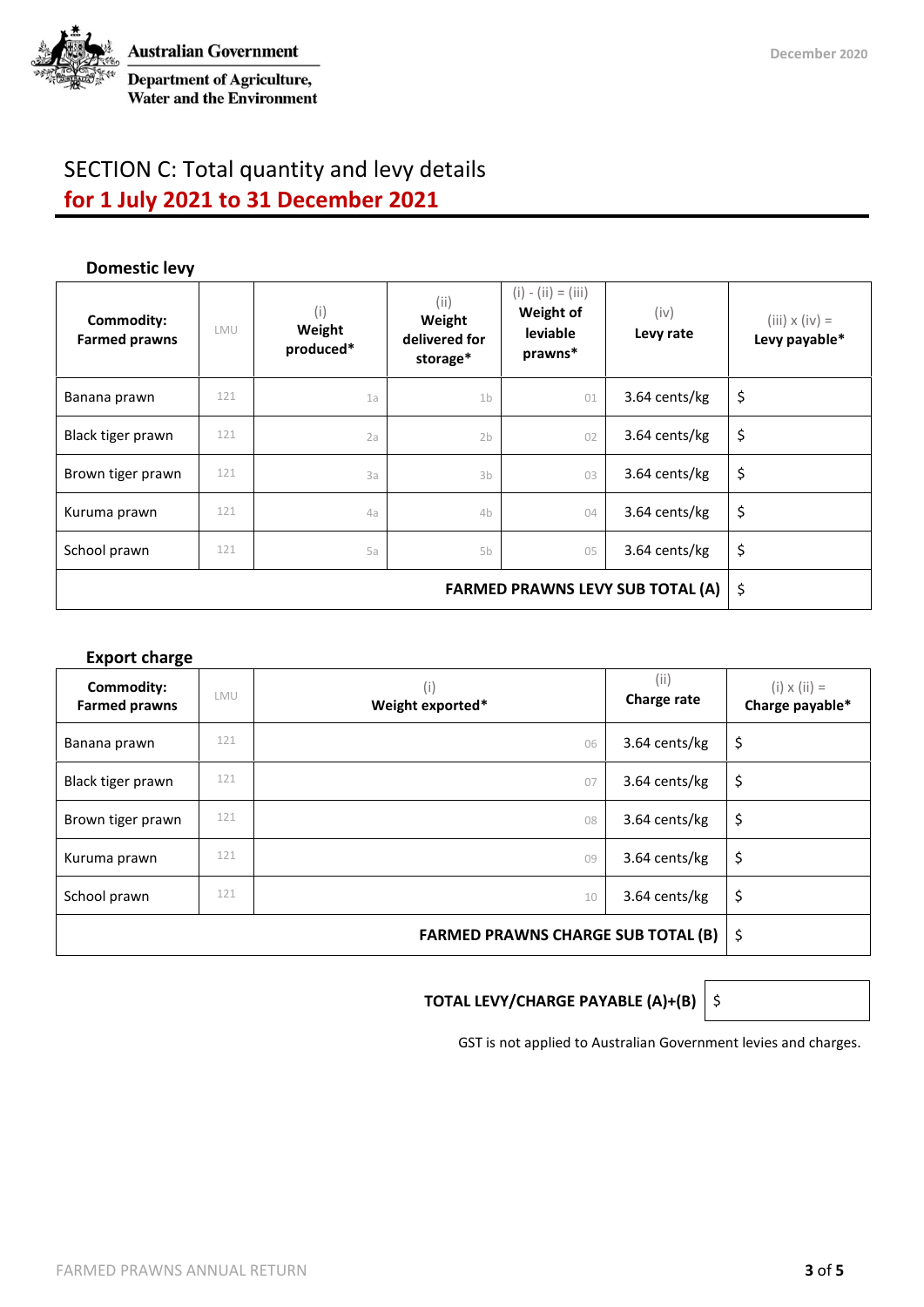

Department of Agriculture, **Water and the Environment** 

### SECTION C: Total quantity and levy details **for 1 July 2021 to 31 December 2021**

#### **Domestic levy**

| Commodity:<br><b>Farmed prawns</b> | <b>LMU</b> | (i)<br>Weight<br>produced* | (ii)<br>Weight<br>delivered for<br>storage* | $(i) - (ii) = (iii)$<br>Weight of<br><b>leviable</b><br>prawns* | (iv)<br>Levy rate | $(iii) \times (iv) =$<br>Levy payable* |
|------------------------------------|------------|----------------------------|---------------------------------------------|-----------------------------------------------------------------|-------------------|----------------------------------------|
| Banana prawn                       | 121        | 1a                         | 1 <sub>b</sub>                              | 01                                                              | 3.64 cents/kg     | \$                                     |
| Black tiger prawn                  | 121        | 2a                         | 2 <sub>b</sub>                              | 02                                                              | 3.64 cents/kg     | \$                                     |
| Brown tiger prawn                  | 121        | 3a                         | 3 <sub>b</sub>                              | 03                                                              | 3.64 cents/kg     | \$                                     |
| Kuruma prawn                       | 121        | 4a                         | 4b                                          | 04                                                              | 3.64 cents/kg     | \$                                     |
| School prawn                       | 121        | 5a                         | 5b                                          | 05                                                              | 3.64 cents/kg     | \$                                     |
|                                    | \$         |                            |                                             |                                                                 |                   |                                        |

#### **Export charge**

| Commodity:<br><b>Farmed prawns</b> | LMU | (i)<br>Weight exported* | (i)<br>Charge rate | $(i) \times (ii) =$<br>Charge payable* |
|------------------------------------|-----|-------------------------|--------------------|----------------------------------------|
| Banana prawn                       | 121 | 06                      | 3.64 cents/kg      | \$                                     |
| Black tiger prawn                  | 121 | 07                      | 3.64 cents/kg      | \$                                     |
| Brown tiger prawn                  | 121 | 08                      | 3.64 cents/kg      | \$                                     |
| Kuruma prawn                       | 121 | 09                      | 3.64 cents/kg      | \$                                     |
| School prawn                       | 121 | 10                      | 3.64 cents/kg      | \$                                     |
|                                    | \$  |                         |                    |                                        |

#### **TOTAL LEVY/CHARGE PAYABLE (A)+(B)**  $\Big|\S$

GST is not applied to Australian Government levies and charges.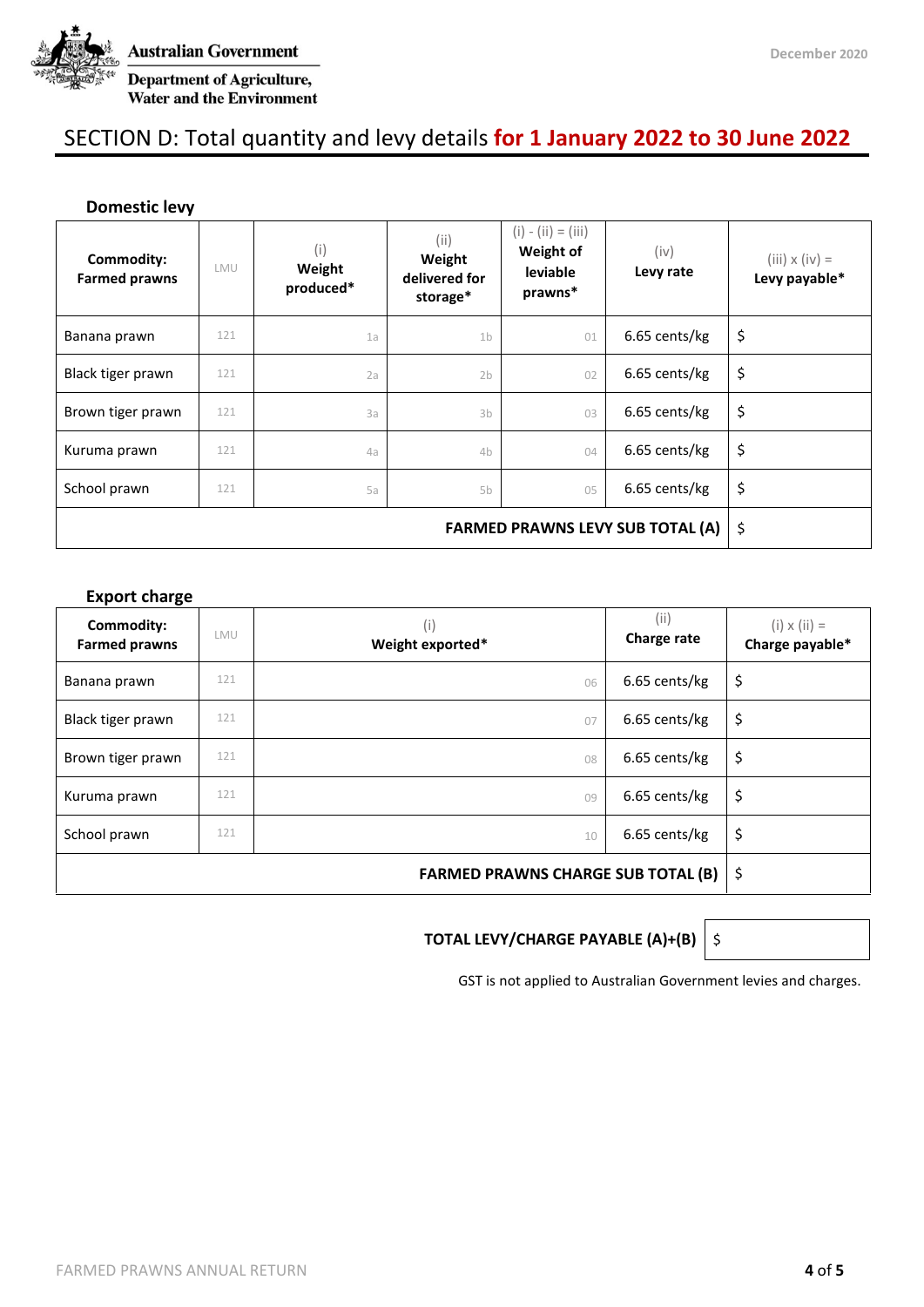

**Australian Government** Department of Agriculture, **Water and the Environment** 

### SECTION D: Total quantity and levy details **for 1 January 2022 to 30 June 2022**

#### **Domestic levy**

| Commodity:<br><b>Farmed prawns</b> | LMU | (i)<br>Weight<br>produced* | (i)<br>Weight<br>delivered for<br>storage* | $(i) - (ii) = (iii)$<br>Weight of<br>leviable<br>prawns* | (iv)<br>Levy rate | $(iii) \times (iv) =$<br>Levy payable* |
|------------------------------------|-----|----------------------------|--------------------------------------------|----------------------------------------------------------|-------------------|----------------------------------------|
| Banana prawn                       | 121 | 1a                         | 1 <sub>b</sub>                             | 01                                                       | 6.65 cents/kg     | \$                                     |
| Black tiger prawn                  | 121 | 2a                         | 2 <sub>b</sub>                             | 02                                                       | 6.65 cents/kg     | \$                                     |
| Brown tiger prawn                  | 121 | 3a                         | 3 <sub>b</sub>                             | 03                                                       | 6.65 cents/kg     | \$                                     |
| Kuruma prawn                       | 121 | 4a                         | 4 <sub>b</sub>                             | 04                                                       | 6.65 cents/kg     | \$                                     |
| School prawn                       | 121 | 5a                         | 5b                                         | 05                                                       | 6.65 cents/kg     | \$                                     |
|                                    | \$  |                            |                                            |                                                          |                   |                                        |

#### **Export charge**

| Commodity:<br><b>Farmed prawns</b> | LMU | (i)<br>Weight exported* | (i)<br>Charge rate | $(i) \times (ii) =$<br>Charge payable* |
|------------------------------------|-----|-------------------------|--------------------|----------------------------------------|
| Banana prawn                       | 121 | 06                      | 6.65 cents/kg      | \$                                     |
| Black tiger prawn                  | 121 | 07                      | 6.65 cents/kg      | \$                                     |
| Brown tiger prawn                  | 121 | 08                      | 6.65 cents/kg      | \$                                     |
| Kuruma prawn                       | 121 | 09                      | 6.65 cents/kg      | \$                                     |
| School prawn                       | 121 | 10                      | 6.65 cents/kg      | \$                                     |
|                                    | \$  |                         |                    |                                        |

#### **TOTAL LEVY/CHARGE PAYABLE (A)+(B)** \$

GST is not applied to Australian Government levies and charges.